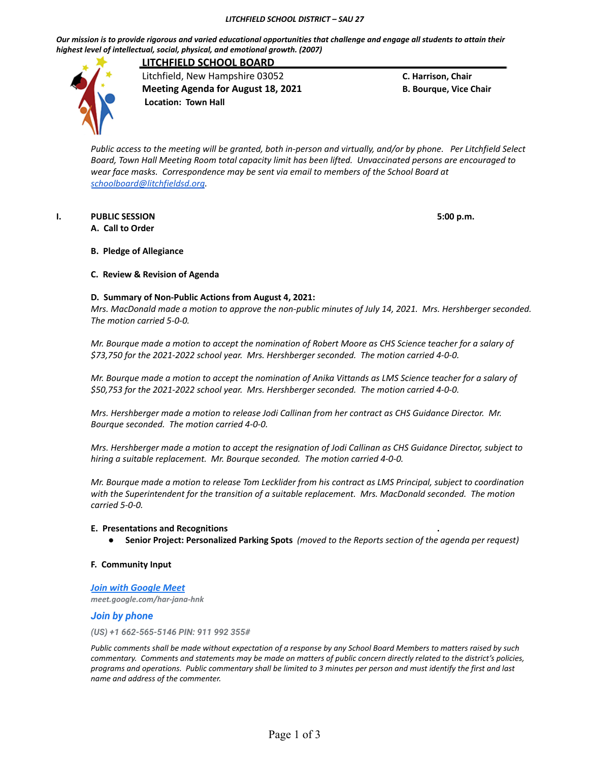*Our mission is to provide rigorous and varied educational opportunities that challenge and engage all students to attain their highest level of intellectual, social, physical, and emotional growth. (2007)*



**LITCHFIELD SCHOOL BOARD** Litchfield, New Hampshire 03052 **C. Harrison, Chair Meeting Agenda for August 18, 2021 B. Bourque, Vice Chair Location: Town Hall**

Public access to the meeting will be granted, both in-person and virtually, and/or by phone. Per Litchfield Select *Board, Town Hall Meeting Room total capacity limit has been lifted. Unvaccinated persons are encouraged to wear face masks. Correspondence may be sent via email to members of the School Board at [schoolboard@litchfieldsd.org](mailto:schoolboard@litchfieldsd.org).*

# **I. PUBLIC SESSION 5:00 p.m.**

**A. Call to Order**

# **B. Pledge of Allegiance**

### **C. Review & Revision of Agenda**

### **D. Summary of Non-Public Actions from August 4, 2021:**

Mrs. MacDonald made a motion to approve the non-public minutes of July 14, 2021. Mrs. Hershberger seconded. *The motion carried 5-0-0.*

Mr. Bourque made a motion to accept the nomination of Robert Moore as CHS Science teacher for a salary of *\$73,750 for the 2021-2022 school year. Mrs. Hershberger seconded. The motion carried 4-0-0.*

Mr. Bourque made a motion to accept the nomination of Anika Vittands as LMS Science teacher for a salary of *\$50,753 for the 2021-2022 school year. Mrs. Hershberger seconded. The motion carried 4-0-0.*

*Mrs. Hershberger made a motion to release Jodi Callinan from her contract as CHS Guidance Director. Mr. Bourque seconded. The motion carried 4-0-0.*

Mrs. Hershberger made a motion to accept the resignation of Jodi Callinan as CHS Guidance Director, subject to *hiring a suitable replacement. Mr. Bourque seconded. The motion carried 4-0-0.*

Mr. Bourque made a motion to release Tom Lecklider from his contract as LMS Principal, subject to coordination *with the Superintendent for the transition of a suitable replacement. Mrs. MacDonald seconded. The motion carried 5-0-0.*

### **E. Presentations and Recognitions .**

**● Senior Project: Personalized Parking Spots** *(moved to the Reports section of the agenda per request)*

### **F. Community Input**

*[Join with Google Meet](https://meet.google.com/har-jana-hnk?authuser=0&hs=122) meet.google.com/har-jana-hnk*

### *Join by phone*

*(US) +1 662-565-5146 PIN: 911 992 355#*

*Public comments shall be made without expectation of a response by any School Board Members to matters raised by such commentary. Comments and statements may be made on matters of public concern directly related to the district's policies, programs and operations. Public commentary shall be limited to 3 minutes per person and must identify the first and last name and address of the commenter.*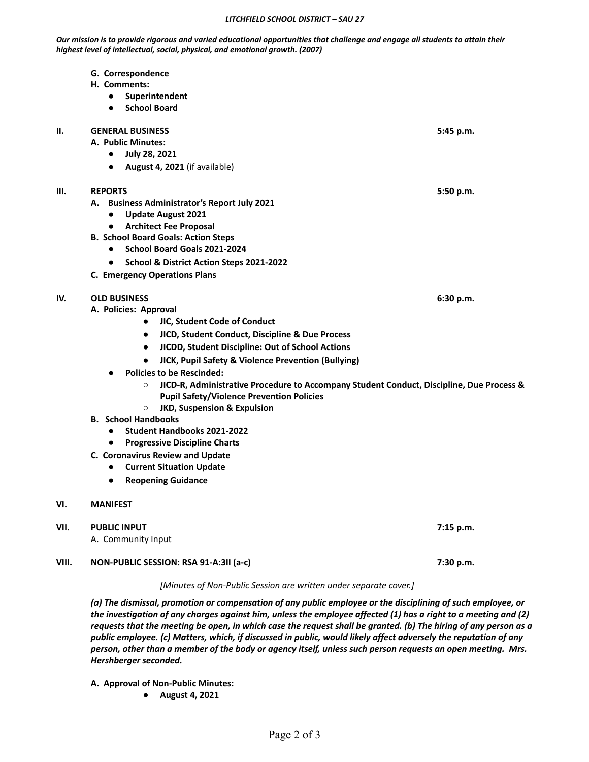#### *LITCHFIELD SCHOOL DISTRICT – SAU 27*

*Our mission is to provide rigorous and varied educational opportunities that challenge and engage all students to attain their highest level of intellectual, social, physical, and emotional growth. (2007)*

- **G. Correspondence**
- **H. Comments:**
	- **● Superintendent**
	- **● School Board**

**II. GENERAL BUSINESS 5:45 p.m.**

- **A. Public Minutes:**
	- **● July 28, 2021**
	- **● August 4, 2021** (if available)

### **III. REPORTS 5:50 p.m.**

- **A. Business Administrator's Report July 2021**
	- **● Update August 2021**
	- **● Architect Fee Proposal**
- **B. School Board Goals: Action Steps**
	- **● School Board Goals 2021-2024**
		- **● School & District Action Steps 2021-2022**
- **C. Emergency Operations Plans**

# **IV. OLD BUSINESS 6:30 p.m.**

- **A. Policies: Approval**
	- **● JIC, Student Code of Conduct**
	- **● JICD, Student Conduct, Discipline & Due Process**
	- **● JICDD, Student Discipline: Out of School Actions**
	- **● JICK, Pupil Safety & Violence Prevention (Bullying)**
	- **● Policies to be Rescinded:**
		- **○ JICD-R, Administrative Procedure to Accompany Student Conduct, Discipline, Due Process & Pupil Safety/Violence Prevention Policies**
		- **○ JKD, Suspension & Expulsion**
- **B. School Handbooks**
	- **● Student Handbooks 2021-2022**
	- **● Progressive Discipline Charts**
- **C. Coronavirus Review and Update**
	- **● Current Situation Update**
	- **● Reopening Guidance**

### **VI. MANIFEST**

| VII.  | <b>PUBLIC INPUT</b><br>A. Community Input | 7:15 p.m. |
|-------|-------------------------------------------|-----------|
| VIII. | NON-PUBLIC SESSION: RSA 91-A:3II (a-c)    | 7:30 p.m. |

### *[Minutes of Non-Public Session are written under separate cover.]*

(a) The dismissal, promotion or compensation of any public employee or the disciplining of such employee, or the investigation of any charges against him, unless the employee affected (1) has a right to a meeting and (2) requests that the meeting be open, in which case the request shall be granted. (b) The hiring of any person as a public employee. (c) Matters, which, if discussed in public, would likely affect adversely the reputation of any person, other than a member of the body or agency itself, unless such person requests an open meeting. Mrs. *Hershberger seconded.*

- **A. Approval of Non-Public Minutes:**
	- **● August 4, 2021**